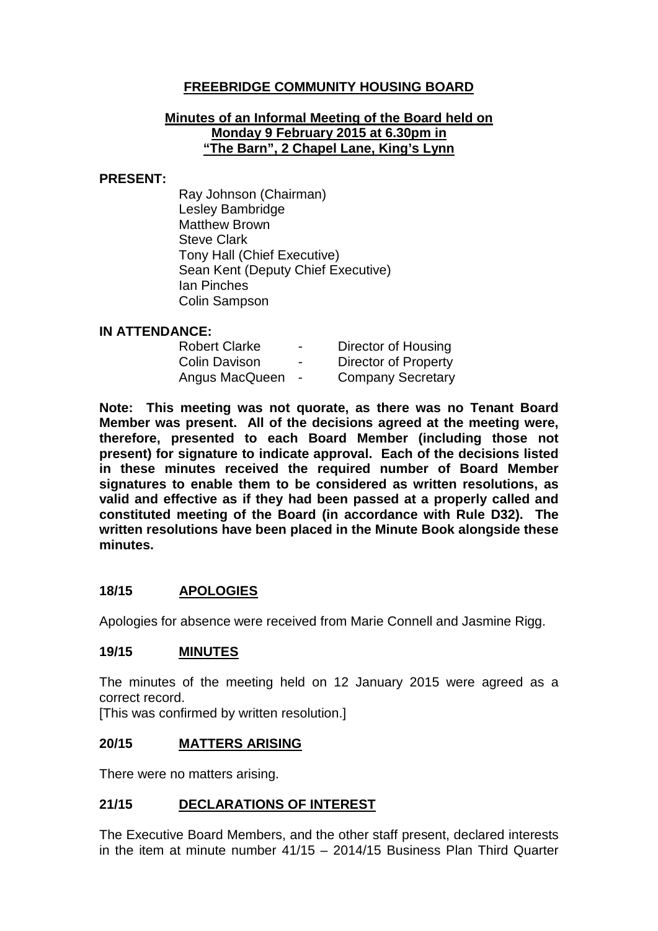## **FREEBRIDGE COMMUNITY HOUSING BOARD**

#### **Minutes of an Informal Meeting of the Board held on Monday 9 February 2015 at 6.30pm in "The Barn", 2 Chapel Lane, King's Lynn**

#### **PRESENT:**

Ray Johnson (Chairman) Lesley Bambridge Matthew Brown Steve Clark Tony Hall (Chief Executive) Sean Kent (Deputy Chief Executive) Ian Pinches Colin Sampson

#### **IN ATTENDANCE:**

| <b>Robert Clarke</b> | $\blacksquare$ | Director of Housing      |
|----------------------|----------------|--------------------------|
| <b>Colin Davison</b> | $\blacksquare$ | Director of Property     |
| Angus MacQueen       |                | <b>Company Secretary</b> |

**Note: This meeting was not quorate, as there was no Tenant Board Member was present. All of the decisions agreed at the meeting were, therefore, presented to each Board Member (including those not present) for signature to indicate approval. Each of the decisions listed in these minutes received the required number of Board Member signatures to enable them to be considered as written resolutions, as valid and effective as if they had been passed at a properly called and constituted meeting of the Board (in accordance with Rule D32). The written resolutions have been placed in the Minute Book alongside these minutes.**

## **18/15 APOLOGIES**

Apologies for absence were received from Marie Connell and Jasmine Rigg.

### **19/15 MINUTES**

The minutes of the meeting held on 12 January 2015 were agreed as a correct record.

[This was confirmed by written resolution.]

### **20/15 MATTERS ARISING**

There were no matters arising.

## **21/15 DECLARATIONS OF INTEREST**

The Executive Board Members, and the other staff present, declared interests in the item at minute number 41/15 – 2014/15 Business Plan Third Quarter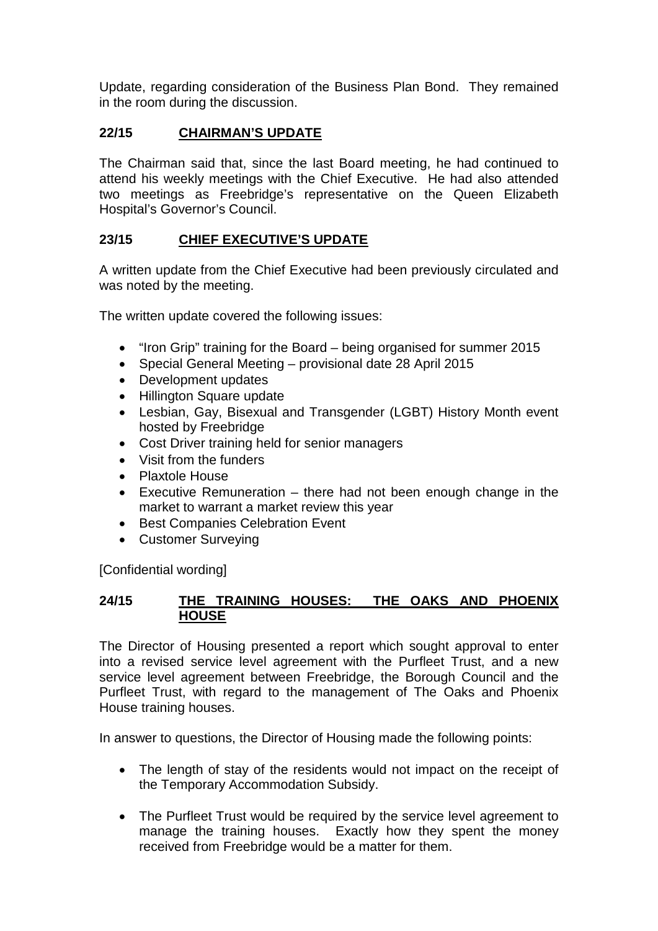Update, regarding consideration of the Business Plan Bond. They remained in the room during the discussion.

## **22/15 CHAIRMAN'S UPDATE**

The Chairman said that, since the last Board meeting, he had continued to attend his weekly meetings with the Chief Executive. He had also attended two meetings as Freebridge's representative on the Queen Elizabeth Hospital's Governor's Council.

# **23/15 CHIEF EXECUTIVE'S UPDATE**

A written update from the Chief Executive had been previously circulated and was noted by the meeting.

The written update covered the following issues:

- "Iron Grip" training for the Board being organised for summer 2015
- Special General Meeting provisional date 28 April 2015
- Development updates
- Hillington Square update
- Lesbian, Gay, Bisexual and Transgender (LGBT) History Month event hosted by Freebridge
- Cost Driver training held for senior managers
- Visit from the funders
- Plaxtole House
- Executive Remuneration there had not been enough change in the market to warrant a market review this year
- Best Companies Celebration Event
- Customer Surveying

[Confidential wording]

### **24/15 THE TRAINING HOUSES: THE OAKS AND PHOENIX HOUSE**

The Director of Housing presented a report which sought approval to enter into a revised service level agreement with the Purfleet Trust, and a new service level agreement between Freebridge, the Borough Council and the Purfleet Trust, with regard to the management of The Oaks and Phoenix House training houses.

In answer to questions, the Director of Housing made the following points:

- The length of stay of the residents would not impact on the receipt of the Temporary Accommodation Subsidy.
- The Purfleet Trust would be required by the service level agreement to manage the training houses. Exactly how they spent the money received from Freebridge would be a matter for them.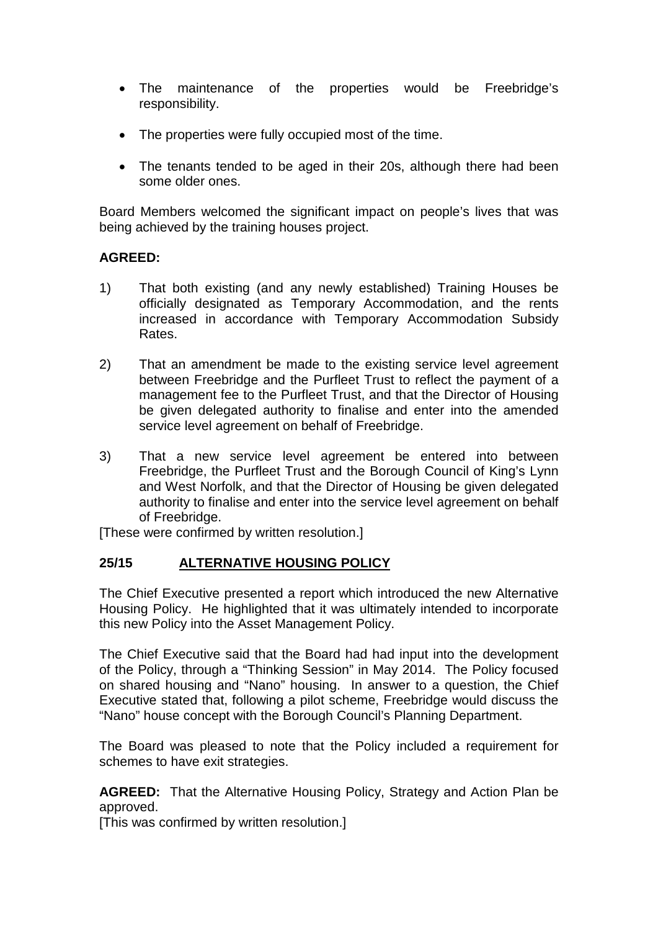- The maintenance of the properties would be Freebridge's responsibility.
- The properties were fully occupied most of the time.
- The tenants tended to be aged in their 20s, although there had been some older ones.

Board Members welcomed the significant impact on people's lives that was being achieved by the training houses project.

#### **AGREED:**

- 1) That both existing (and any newly established) Training Houses be officially designated as Temporary Accommodation, and the rents increased in accordance with Temporary Accommodation Subsidy Rates.
- 2) That an amendment be made to the existing service level agreement between Freebridge and the Purfleet Trust to reflect the payment of a management fee to the Purfleet Trust, and that the Director of Housing be given delegated authority to finalise and enter into the amended service level agreement on behalf of Freebridge.
- 3) That a new service level agreement be entered into between Freebridge, the Purfleet Trust and the Borough Council of King's Lynn and West Norfolk, and that the Director of Housing be given delegated authority to finalise and enter into the service level agreement on behalf of Freebridge.

[These were confirmed by written resolution.]

### **25/15 ALTERNATIVE HOUSING POLICY**

The Chief Executive presented a report which introduced the new Alternative Housing Policy. He highlighted that it was ultimately intended to incorporate this new Policy into the Asset Management Policy.

The Chief Executive said that the Board had had input into the development of the Policy, through a "Thinking Session" in May 2014. The Policy focused on shared housing and "Nano" housing. In answer to a question, the Chief Executive stated that, following a pilot scheme, Freebridge would discuss the "Nano" house concept with the Borough Council's Planning Department.

The Board was pleased to note that the Policy included a requirement for schemes to have exit strategies.

**AGREED:** That the Alternative Housing Policy, Strategy and Action Plan be approved.

[This was confirmed by written resolution.]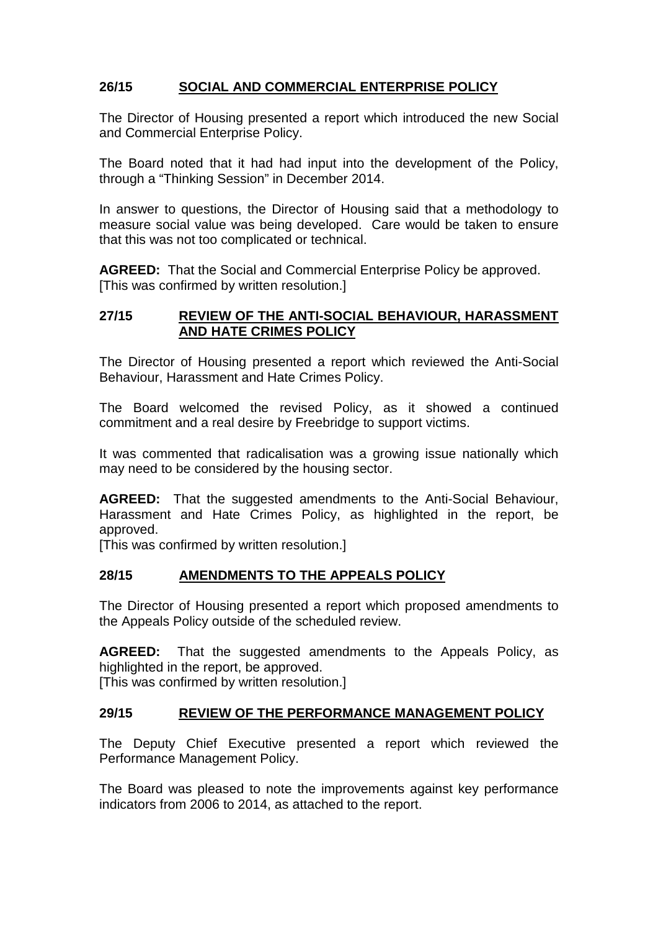# **26/15 SOCIAL AND COMMERCIAL ENTERPRISE POLICY**

The Director of Housing presented a report which introduced the new Social and Commercial Enterprise Policy.

The Board noted that it had had input into the development of the Policy, through a "Thinking Session" in December 2014.

In answer to questions, the Director of Housing said that a methodology to measure social value was being developed. Care would be taken to ensure that this was not too complicated or technical.

**AGREED:** That the Social and Commercial Enterprise Policy be approved. [This was confirmed by written resolution.]

#### **27/15 REVIEW OF THE ANTI-SOCIAL BEHAVIOUR, HARASSMENT AND HATE CRIMES POLICY**

The Director of Housing presented a report which reviewed the Anti-Social Behaviour, Harassment and Hate Crimes Policy.

The Board welcomed the revised Policy, as it showed a continued commitment and a real desire by Freebridge to support victims.

It was commented that radicalisation was a growing issue nationally which may need to be considered by the housing sector.

**AGREED:** That the suggested amendments to the Anti-Social Behaviour, Harassment and Hate Crimes Policy, as highlighted in the report, be approved.

[This was confirmed by written resolution.]

## **28/15 AMENDMENTS TO THE APPEALS POLICY**

The Director of Housing presented a report which proposed amendments to the Appeals Policy outside of the scheduled review.

**AGREED:** That the suggested amendments to the Appeals Policy, as highlighted in the report, be approved.

[This was confirmed by written resolution.]

### **29/15 REVIEW OF THE PERFORMANCE MANAGEMENT POLICY**

The Deputy Chief Executive presented a report which reviewed the Performance Management Policy.

The Board was pleased to note the improvements against key performance indicators from 2006 to 2014, as attached to the report.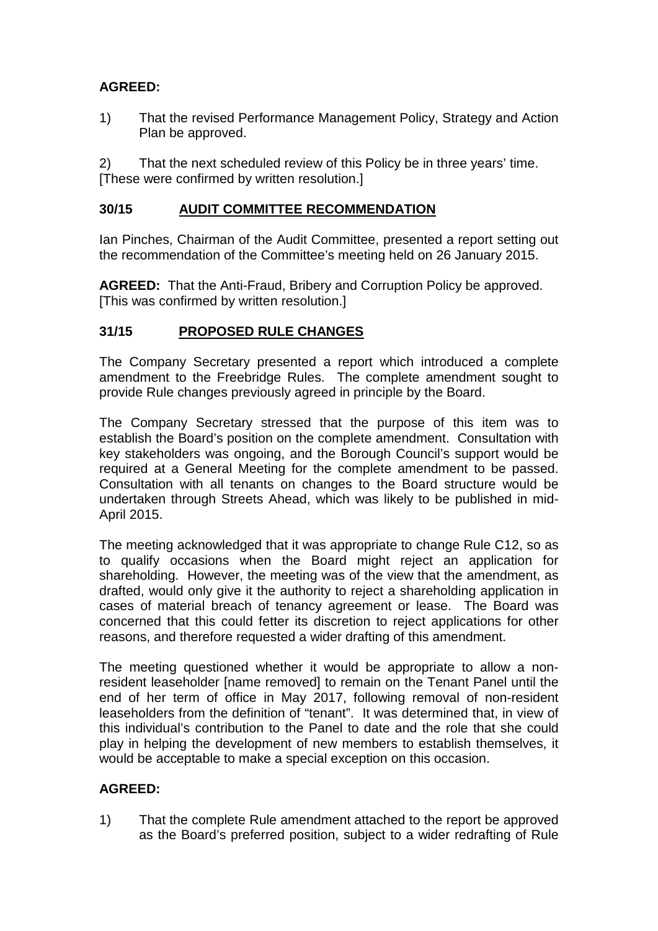# **AGREED:**

1) That the revised Performance Management Policy, Strategy and Action Plan be approved.

2) That the next scheduled review of this Policy be in three years' time. [These were confirmed by written resolution.]

### **30/15 AUDIT COMMITTEE RECOMMENDATION**

Ian Pinches, Chairman of the Audit Committee, presented a report setting out the recommendation of the Committee's meeting held on 26 January 2015.

**AGREED:** That the Anti-Fraud, Bribery and Corruption Policy be approved. [This was confirmed by written resolution.]

## **31/15 PROPOSED RULE CHANGES**

The Company Secretary presented a report which introduced a complete amendment to the Freebridge Rules. The complete amendment sought to provide Rule changes previously agreed in principle by the Board.

The Company Secretary stressed that the purpose of this item was to establish the Board's position on the complete amendment. Consultation with key stakeholders was ongoing, and the Borough Council's support would be required at a General Meeting for the complete amendment to be passed. Consultation with all tenants on changes to the Board structure would be undertaken through Streets Ahead, which was likely to be published in mid-April 2015.

The meeting acknowledged that it was appropriate to change Rule C12, so as to qualify occasions when the Board might reject an application for shareholding. However, the meeting was of the view that the amendment, as drafted, would only give it the authority to reject a shareholding application in cases of material breach of tenancy agreement or lease. The Board was concerned that this could fetter its discretion to reject applications for other reasons, and therefore requested a wider drafting of this amendment.

The meeting questioned whether it would be appropriate to allow a nonresident leaseholder [name removed] to remain on the Tenant Panel until the end of her term of office in May 2017, following removal of non-resident leaseholders from the definition of "tenant". It was determined that, in view of this individual's contribution to the Panel to date and the role that she could play in helping the development of new members to establish themselves, it would be acceptable to make a special exception on this occasion.

## **AGREED:**

1) That the complete Rule amendment attached to the report be approved as the Board's preferred position, subject to a wider redrafting of Rule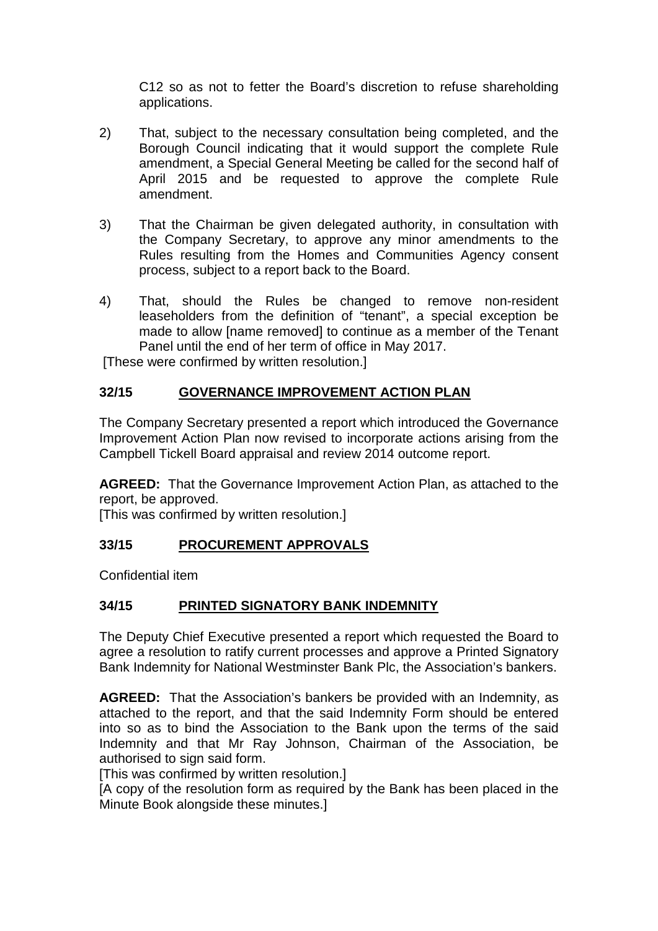C12 so as not to fetter the Board's discretion to refuse shareholding applications.

- 2) That, subject to the necessary consultation being completed, and the Borough Council indicating that it would support the complete Rule amendment, a Special General Meeting be called for the second half of April 2015 and be requested to approve the complete Rule amendment.
- 3) That the Chairman be given delegated authority, in consultation with the Company Secretary, to approve any minor amendments to the Rules resulting from the Homes and Communities Agency consent process, subject to a report back to the Board.
- 4) That, should the Rules be changed to remove non-resident leaseholders from the definition of "tenant", a special exception be made to allow [name removed] to continue as a member of the Tenant Panel until the end of her term of office in May 2017.

[These were confirmed by written resolution.]

# **32/15 GOVERNANCE IMPROVEMENT ACTION PLAN**

The Company Secretary presented a report which introduced the Governance Improvement Action Plan now revised to incorporate actions arising from the Campbell Tickell Board appraisal and review 2014 outcome report.

**AGREED:** That the Governance Improvement Action Plan, as attached to the report, be approved.

[This was confirmed by written resolution.]

### **33/15 PROCUREMENT APPROVALS**

Confidential item

## **34/15 PRINTED SIGNATORY BANK INDEMNITY**

The Deputy Chief Executive presented a report which requested the Board to agree a resolution to ratify current processes and approve a Printed Signatory Bank Indemnity for National Westminster Bank Plc, the Association's bankers.

**AGREED:** That the Association's bankers be provided with an Indemnity, as attached to the report, and that the said Indemnity Form should be entered into so as to bind the Association to the Bank upon the terms of the said Indemnity and that Mr Ray Johnson, Chairman of the Association, be authorised to sign said form.

[This was confirmed by written resolution.]

[A copy of the resolution form as required by the Bank has been placed in the Minute Book alongside these minutes.]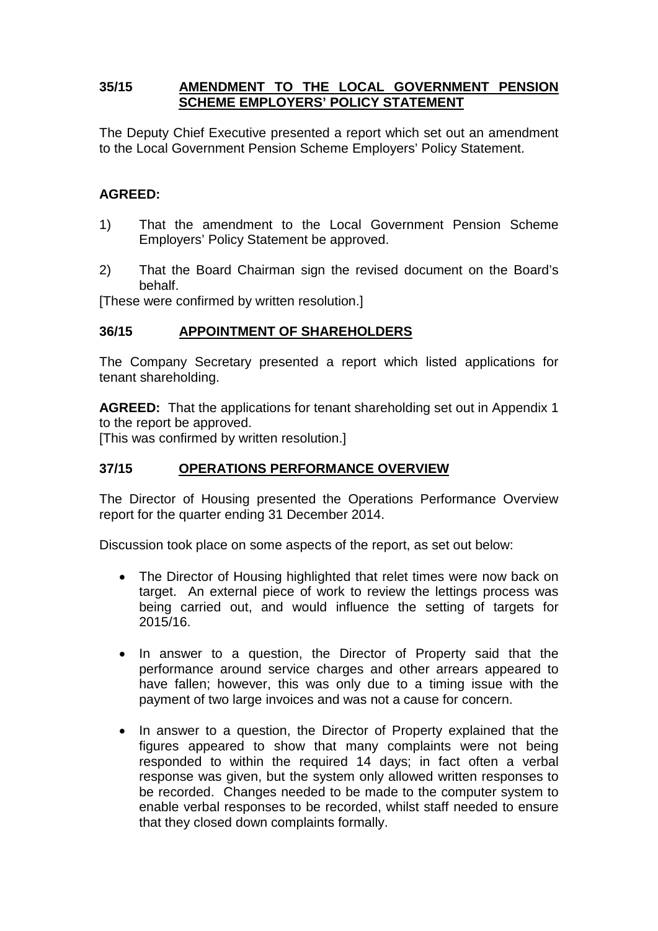### **35/15 AMENDMENT TO THE LOCAL GOVERNMENT PENSION SCHEME EMPLOYERS' POLICY STATEMENT**

The Deputy Chief Executive presented a report which set out an amendment to the Local Government Pension Scheme Employers' Policy Statement.

### **AGREED:**

- 1) That the amendment to the Local Government Pension Scheme Employers' Policy Statement be approved.
- 2) That the Board Chairman sign the revised document on the Board's behalf.

[These were confirmed by written resolution.]

### **36/15 APPOINTMENT OF SHAREHOLDERS**

The Company Secretary presented a report which listed applications for tenant shareholding.

**AGREED:** That the applications for tenant shareholding set out in Appendix 1 to the report be approved.

[This was confirmed by written resolution.]

### **37/15 OPERATIONS PERFORMANCE OVERVIEW**

The Director of Housing presented the Operations Performance Overview report for the quarter ending 31 December 2014.

Discussion took place on some aspects of the report, as set out below:

- The Director of Housing highlighted that relet times were now back on target. An external piece of work to review the lettings process was being carried out, and would influence the setting of targets for 2015/16.
- In answer to a question, the Director of Property said that the performance around service charges and other arrears appeared to have fallen; however, this was only due to a timing issue with the payment of two large invoices and was not a cause for concern.
- In answer to a question, the Director of Property explained that the figures appeared to show that many complaints were not being responded to within the required 14 days; in fact often a verbal response was given, but the system only allowed written responses to be recorded. Changes needed to be made to the computer system to enable verbal responses to be recorded, whilst staff needed to ensure that they closed down complaints formally.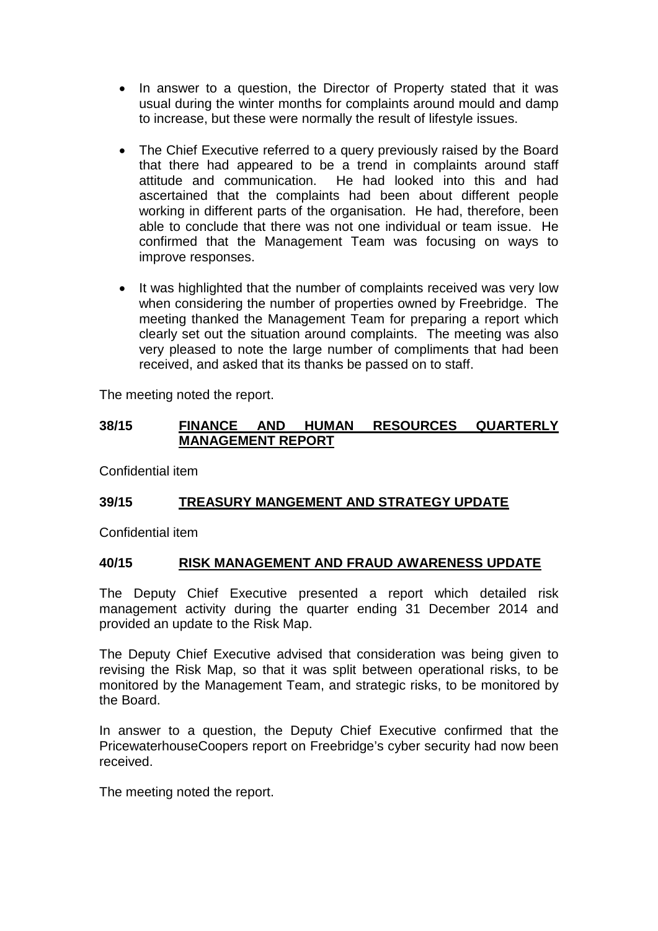- In answer to a question, the Director of Property stated that it was usual during the winter months for complaints around mould and damp to increase, but these were normally the result of lifestyle issues.
- The Chief Executive referred to a query previously raised by the Board that there had appeared to be a trend in complaints around staff attitude and communication. He had looked into this and had ascertained that the complaints had been about different people working in different parts of the organisation. He had, therefore, been able to conclude that there was not one individual or team issue. He confirmed that the Management Team was focusing on ways to improve responses.
- It was highlighted that the number of complaints received was very low when considering the number of properties owned by Freebridge. The meeting thanked the Management Team for preparing a report which clearly set out the situation around complaints. The meeting was also very pleased to note the large number of compliments that had been received, and asked that its thanks be passed on to staff.

The meeting noted the report.

### **38/15 FINANCE AND HUMAN RESOURCES QUARTERLY MANAGEMENT REPORT**

Confidential item

## **39/15 TREASURY MANGEMENT AND STRATEGY UPDATE**

Confidential item

### **40/15 RISK MANAGEMENT AND FRAUD AWARENESS UPDATE**

The Deputy Chief Executive presented a report which detailed risk management activity during the quarter ending 31 December 2014 and provided an update to the Risk Map.

The Deputy Chief Executive advised that consideration was being given to revising the Risk Map, so that it was split between operational risks, to be monitored by the Management Team, and strategic risks, to be monitored by the Board.

In answer to a question, the Deputy Chief Executive confirmed that the PricewaterhouseCoopers report on Freebridge's cyber security had now been received.

The meeting noted the report.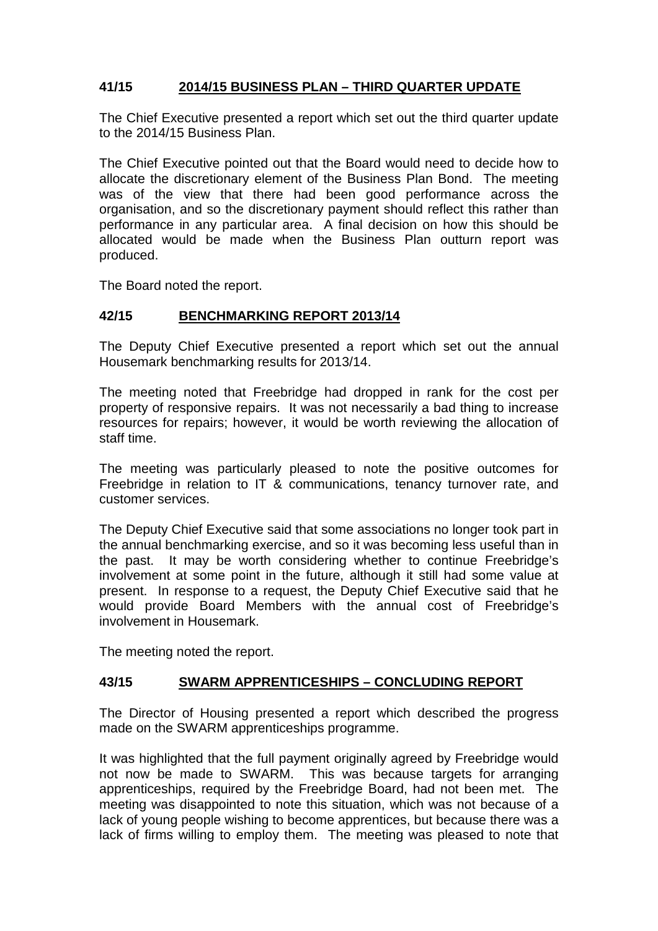# **41/15 2014/15 BUSINESS PLAN – THIRD QUARTER UPDATE**

The Chief Executive presented a report which set out the third quarter update to the 2014/15 Business Plan.

The Chief Executive pointed out that the Board would need to decide how to allocate the discretionary element of the Business Plan Bond. The meeting was of the view that there had been good performance across the organisation, and so the discretionary payment should reflect this rather than performance in any particular area. A final decision on how this should be allocated would be made when the Business Plan outturn report was produced.

The Board noted the report.

### **42/15 BENCHMARKING REPORT 2013/14**

The Deputy Chief Executive presented a report which set out the annual Housemark benchmarking results for 2013/14.

The meeting noted that Freebridge had dropped in rank for the cost per property of responsive repairs. It was not necessarily a bad thing to increase resources for repairs; however, it would be worth reviewing the allocation of staff time.

The meeting was particularly pleased to note the positive outcomes for Freebridge in relation to IT & communications, tenancy turnover rate, and customer services.

The Deputy Chief Executive said that some associations no longer took part in the annual benchmarking exercise, and so it was becoming less useful than in the past. It may be worth considering whether to continue Freebridge's involvement at some point in the future, although it still had some value at present. In response to a request, the Deputy Chief Executive said that he would provide Board Members with the annual cost of Freebridge's involvement in Housemark.

The meeting noted the report.

### **43/15 SWARM APPRENTICESHIPS – CONCLUDING REPORT**

The Director of Housing presented a report which described the progress made on the SWARM apprenticeships programme.

It was highlighted that the full payment originally agreed by Freebridge would not now be made to SWARM. This was because targets for arranging apprenticeships, required by the Freebridge Board, had not been met. The meeting was disappointed to note this situation, which was not because of a lack of young people wishing to become apprentices, but because there was a lack of firms willing to employ them. The meeting was pleased to note that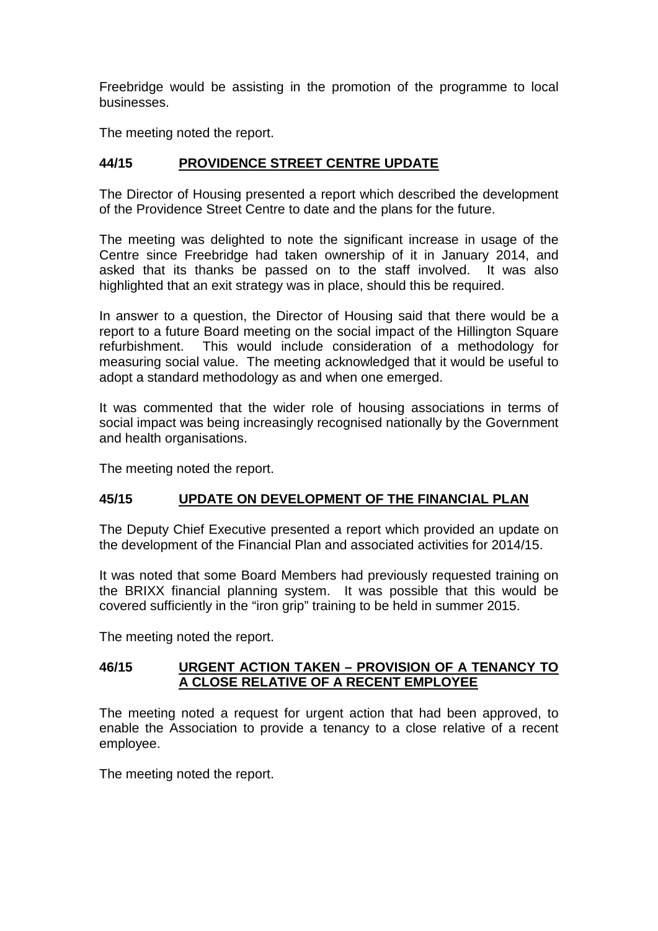Freebridge would be assisting in the promotion of the programme to local businesses.

The meeting noted the report.

# **44/15 PROVIDENCE STREET CENTRE UPDATE**

The Director of Housing presented a report which described the development of the Providence Street Centre to date and the plans for the future.

The meeting was delighted to note the significant increase in usage of the Centre since Freebridge had taken ownership of it in January 2014, and asked that its thanks be passed on to the staff involved. It was also highlighted that an exit strategy was in place, should this be required.

In answer to a question, the Director of Housing said that there would be a report to a future Board meeting on the social impact of the Hillington Square refurbishment. This would include consideration of a methodology for measuring social value. The meeting acknowledged that it would be useful to adopt a standard methodology as and when one emerged.

It was commented that the wider role of housing associations in terms of social impact was being increasingly recognised nationally by the Government and health organisations.

The meeting noted the report.

### **45/15 UPDATE ON DEVELOPMENT OF THE FINANCIAL PLAN**

The Deputy Chief Executive presented a report which provided an update on the development of the Financial Plan and associated activities for 2014/15.

It was noted that some Board Members had previously requested training on the BRIXX financial planning system. It was possible that this would be covered sufficiently in the "iron grip" training to be held in summer 2015.

The meeting noted the report.

### **46/15 URGENT ACTION TAKEN – PROVISION OF A TENANCY TO A CLOSE RELATIVE OF A RECENT EMPLOYEE**

The meeting noted a request for urgent action that had been approved, to enable the Association to provide a tenancy to a close relative of a recent employee.

The meeting noted the report.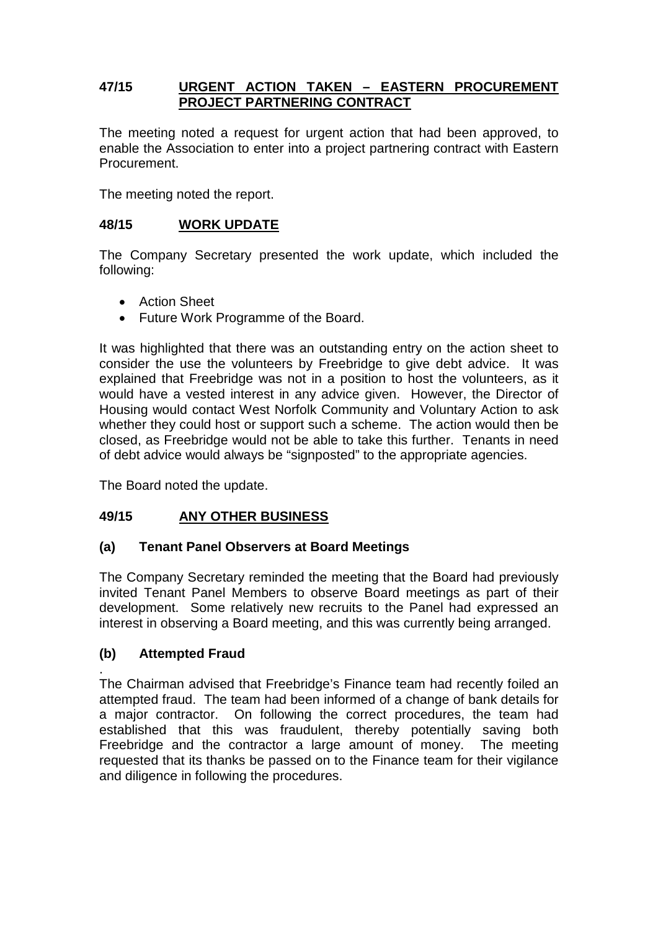### **47/15 URGENT ACTION TAKEN – EASTERN PROCUREMENT PROJECT PARTNERING CONTRACT**

The meeting noted a request for urgent action that had been approved, to enable the Association to enter into a project partnering contract with Eastern Procurement.

The meeting noted the report.

### **48/15 WORK UPDATE**

The Company Secretary presented the work update, which included the following:

- Action Sheet
- Future Work Programme of the Board.

It was highlighted that there was an outstanding entry on the action sheet to consider the use the volunteers by Freebridge to give debt advice. It was explained that Freebridge was not in a position to host the volunteers, as it would have a vested interest in any advice given. However, the Director of Housing would contact West Norfolk Community and Voluntary Action to ask whether they could host or support such a scheme. The action would then be closed, as Freebridge would not be able to take this further. Tenants in need of debt advice would always be "signposted" to the appropriate agencies.

The Board noted the update.

## **49/15 ANY OTHER BUSINESS**

### **(a) Tenant Panel Observers at Board Meetings**

The Company Secretary reminded the meeting that the Board had previously invited Tenant Panel Members to observe Board meetings as part of their development. Some relatively new recruits to the Panel had expressed an interest in observing a Board meeting, and this was currently being arranged.

### **(b) Attempted Fraud**

. The Chairman advised that Freebridge's Finance team had recently foiled an attempted fraud. The team had been informed of a change of bank details for a major contractor. On following the correct procedures, the team had established that this was fraudulent, thereby potentially saving both Freebridge and the contractor a large amount of money. The meeting requested that its thanks be passed on to the Finance team for their vigilance and diligence in following the procedures.